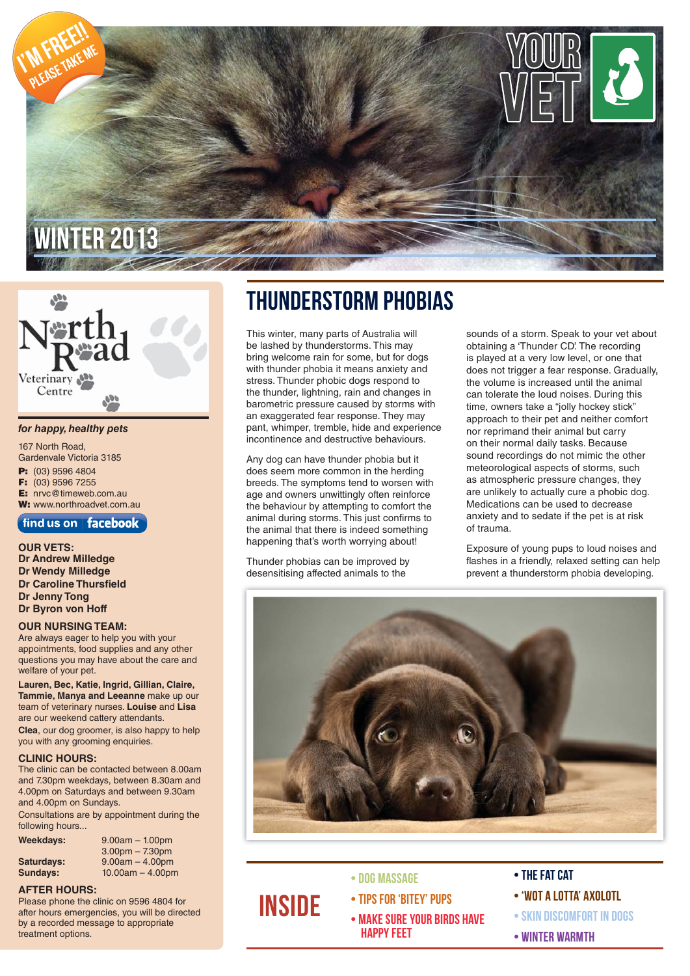

# Veterinary Centre

#### *for happy, healthy pets*

167 North Road, Gardenvale Victoria 3185 **P:** (03) 9596 4804 **F:** (03) 9596 7255 **E:** nrvc@timeweb.com.au **W:** www.northroadvet.com.au

#### find us on  $\vert$  facebook

**OUR VETS: Dr Andrew Milledge Dr Wendy Milledge Dr Caroline Thursfield Dr Jenny Tong Dr Byron von Hoff**

#### **OUR NURSING TEAM:**

Are always eager to help you with your appointments, food supplies and any other questions you may have about the care and welfare of your pet.

**Lauren, Bec, Katie, Ingrid, Gillian, Claire, Tammie, Manya and Leeanne** make up our team of veterinary nurses. **Louise** and **Lisa** are our weekend cattery attendants. **Clea**, our dog groomer, is also happy to help you with any grooming enquiries.

#### **CLINIC HOURS:**

The clinic can be contacted between 8.00am and 7.30pm weekdays, between 8.30am and 4.00pm on Saturdays and between 9.30am and 4.00pm on Sundays.

Consultations are by appointment during the following hours...

| Weekdays:  | $9.00am - 1.00pm$  |
|------------|--------------------|
|            | $3.00pm - 7.30pm$  |
| Saturdays: | $9.00am - 4.00pm$  |
| Sundays:   | $10.00am - 4.00pm$ |

#### **AFTER HOURS:**

Please phone the clinic on 9596 4804 for after hours emergencies, you will be directed by a recorded message to appropriate treatment options.

### Thunderstorm Phobias

This winter, many parts of Australia will be lashed by thunderstorms. This may bring welcome rain for some, but for dogs with thunder phobia it means anxiety and stress. Thunder phobic dogs respond to the thunder, lightning, rain and changes in barometric pressure caused by storms with an exaggerated fear response. They may pant, whimper, tremble, hide and experience incontinence and destructive behaviours.

Any dog can have thunder phobia but it does seem more common in the herding breeds. The symptoms tend to worsen with age and owners unwittingly often reinforce the behaviour by attempting to comfort the animal during storms. This just confirms to the animal that there is indeed something happening that's worth worrying about!

Thunder phobias can be improved by desensitising affected animals to the

sounds of a storm. Speak to your vet about obtaining a 'Thunder CD'. The recording is played at a very low level, or one that does not trigger a fear response. Gradually, the volume is increased until the animal can tolerate the loud noises. During this time, owners take a "jolly hockey stick" approach to their pet and neither comfort nor reprimand their animal but carry on their normal daily tasks. Because sound recordings do not mimic the other meteorological aspects of storms, such as atmospheric pressure changes, they are unlikely to actually cure a phobic dog. Medications can be used to decrease anxiety and to sedate if the pet is at risk of trauma.

Exposure of young pups to loud noises and flashes in a friendly, relaxed setting can help prevent a thunderstorm phobia developing.



#### • Dog Massage

**INSIDE** 

- Tips for 'bitey' pups
- Make sure your birds have happy feet
- The Fat Cat
- 'Wot a lotta' Axolotl
- Skin Discomfort in Dogs
- Winter Warmth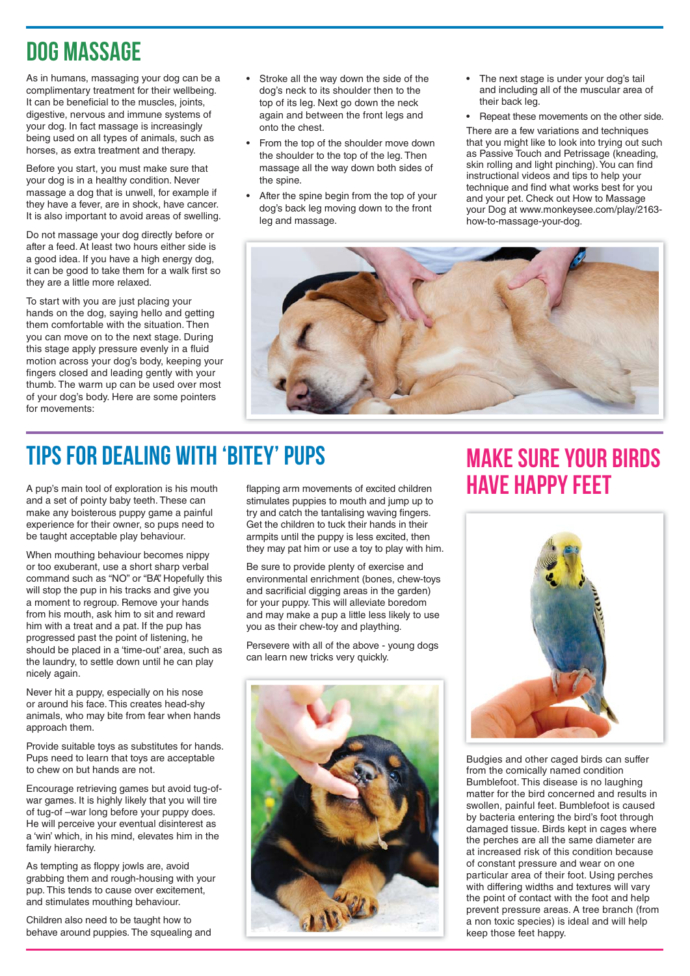# Dog Massage

As in humans, massaging your dog can be a complimentary treatment for their wellbeing. It can be beneficial to the muscles, joints, digestive, nervous and immune systems of your dog. In fact massage is increasingly being used on all types of animals, such as horses, as extra treatment and therapy.

Before you start, you must make sure that your dog is in a healthy condition. Never massage a dog that is unwell, for example if they have a fever, are in shock, have cancer. It is also important to avoid areas of swelling.

Do not massage your dog directly before or after a feed. At least two hours either side is a good idea. If you have a high energy dog, it can be good to take them for a walk first so they are a little more relaxed.

To start with you are just placing your hands on the dog, saying hello and getting them comfortable with the situation. Then you can move on to the next stage. During this stage apply pressure evenly in a fluid motion across your dog's body, keeping your fingers closed and leading gently with your thumb. The warm up can be used over most of your dog's body. Here are some pointers for movements:

- Stroke all the way down the side of the dog's neck to its shoulder then to the top of its leg. Next go down the neck again and between the front legs and onto the chest.
- From the top of the shoulder move down the shoulder to the top of the leg. Then massage all the way down both sides of the spine.
- After the spine begin from the top of your dog's back leg moving down to the front leg and massage.
- The next stage is under your dog's tail and including all of the muscular area of their back leg.
- Repeat these movements on the other side.

There are a few variations and techniques that you might like to look into trying out such as Passive Touch and Petrissage (kneading, skin rolling and light pinching). You can find instructional videos and tips to help your technique and find what works best for you and your pet. Check out How to Massage your Dog at www.monkeysee.com/play/2163 how-to-massage-your-dog.



# Tips for dealing with 'bitey' pups

A pup's main tool of exploration is his mouth and a set of pointy baby teeth. These can make any boisterous puppy game a painful experience for their owner, so pups need to be taught acceptable play behaviour.

When mouthing behaviour becomes nippy or too exuberant, use a short sharp verbal command such as "NO" or "BA" Hopefully this will stop the pup in his tracks and give you a moment to regroup. Remove your hands from his mouth, ask him to sit and reward him with a treat and a pat. If the pup has progressed past the point of listening, he should be placed in a 'time-out' area, such as the laundry, to settle down until he can play nicely again.

Never hit a puppy, especially on his nose or around his face. This creates head-shy animals, who may bite from fear when hands approach them.

Provide suitable toys as substitutes for hands. Pups need to learn that toys are acceptable to chew on but hands are not.

Encourage retrieving games but avoid tug-ofwar games. It is highly likely that you will tire of tug-of –war long before your puppy does. He will perceive your eventual disinterest as a 'win' which, in his mind, elevates him in the family hierarchy.

As tempting as floppy jowls are, avoid grabbing them and rough-housing with your pup. This tends to cause over excitement, and stimulates mouthing behaviour.

Children also need to be taught how to behave around puppies. The squealing and flapping arm movements of excited children stimulates puppies to mouth and jump up to try and catch the tantalising waving fingers. Get the children to tuck their hands in their armpits until the puppy is less excited, then they may pat him or use a toy to play with him.

Be sure to provide plenty of exercise and environmental enrichment (bones, chew-toys and sacrificial digging areas in the garden) for your puppy. This will alleviate boredom and may make a pup a little less likely to use you as their chew-toy and plaything.

Persevere with all of the above - young dogs can learn new tricks very quickly.



### Make sure your birds have happy feet



Budgies and other caged birds can suffer from the comically named condition Bumblefoot. This disease is no laughing matter for the bird concerned and results in swollen, painful feet. Bumblefoot is caused by bacteria entering the bird's foot through damaged tissue. Birds kept in cages where the perches are all the same diameter are at increased risk of this condition because of constant pressure and wear on one particular area of their foot. Using perches with differing widths and textures will vary the point of contact with the foot and help prevent pressure areas. A tree branch (from a non toxic species) is ideal and will help keep those feet happy.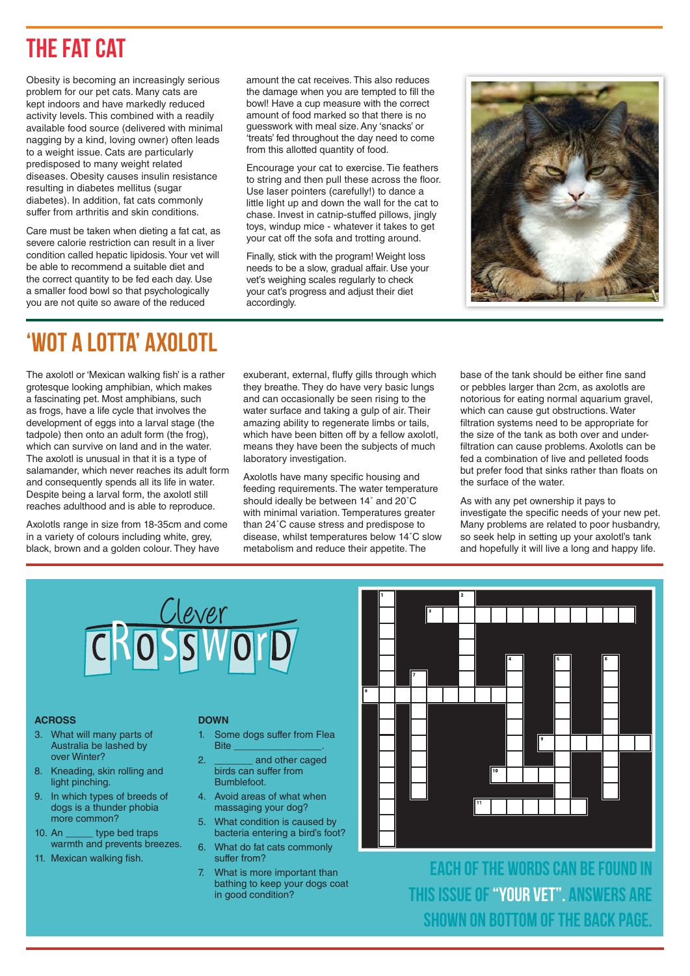# The Fat Cat

Obesity is becoming an increasingly serious problem for our pet cats. Many cats are kept indoors and have markedly reduced activity levels. This combined with a readily available food source (delivered with minimal nagging by a kind, loving owner) often leads to a weight issue. Cats are particularly predisposed to many weight related diseases. Obesity causes insulin resistance resulting in diabetes mellitus (sugar diabetes). In addition, fat cats commonly suffer from arthritis and skin conditions.

Care must be taken when dieting a fat cat, as severe calorie restriction can result in a liver condition called hepatic lipidosis. Your vet will be able to recommend a suitable diet and the correct quantity to be fed each day. Use a smaller food bowl so that psychologically you are not quite so aware of the reduced

amount the cat receives. This also reduces the damage when you are tempted to fill the bowl! Have a cup measure with the correct amount of food marked so that there is no guesswork with meal size. Any 'snacks' or 'treats' fed throughout the day need to come from this allotted quantity of food.

Encourage your cat to exercise. Tie feathers to string and then pull these across the floor. Use laser pointers (carefully!) to dance a little light up and down the wall for the cat to chase. Invest in catnip-stuffed pillows, jingly toys, windup mice - whatever it takes to get your cat off the sofa and trotting around.

Finally, stick with the program! Weight loss needs to be a slow, gradual affair. Use your vet's weighing scales regularly to check your cat's progress and adjust their diet accordingly.



# 'Wot a lotta' Axolotl

The axolotl or 'Mexican walking fish' is a rather grotesque looking amphibian, which makes a fascinating pet. Most amphibians, such as frogs, have a life cycle that involves the development of eggs into a larval stage (the tadpole) then onto an adult form (the frog), which can survive on land and in the water. The axolotl is unusual in that it is a type of salamander, which never reaches its adult form and consequently spends all its life in water. Despite being a larval form, the axolotl still reaches adulthood and is able to reproduce.

Axolotls range in size from 18-35cm and come in a variety of colours including white, grey, black, brown and a golden colour. They have

exuberant, external, fluffy gills through which they breathe. They do have very basic lungs and can occasionally be seen rising to the water surface and taking a gulp of air. Their amazing ability to regenerate limbs or tails, which have been bitten off by a fellow axolotl, means they have been the subjects of much laboratory investigation.

Axolotls have many specific housing and feeding requirements. The water temperature should ideally be between 14˚ and 20˚C with minimal variation. Temperatures greater than 24˚C cause stress and predispose to disease, whilst temperatures below 14˚C slow metabolism and reduce their appetite. The

base of the tank should be either fine sand or pebbles larger than 2cm, as axolotls are notorious for eating normal aquarium gravel, which can cause gut obstructions. Water filtration systems need to be appropriate for the size of the tank as both over and underfiltration can cause problems. Axolotls can be fed a combination of live and pelleted foods but prefer food that sinks rather than floats on the surface of the water.

As with any pet ownership it pays to investigate the specific needs of your new pet. Many problems are related to poor husbandry, so seek help in setting up your axolotl's tank and hopefully it will live a long and happy life.



#### **ACROSS**

- 3. What will many parts of Australia be lashed by over Winter?
- 8. Kneading, skin rolling and light pinching.
- 9. In which types of breeds of dogs is a thunder phobia more common?
- 10. An **type bed traps** warmth and prevents breezes.
- 11. Mexican walking fish.

#### **DOWN**

- Some dogs suffer from Flea Bite \_\_\_\_\_\_\_\_\_\_\_\_\_\_\_\_.
- and other caged birds can suffer from **Bumblefoot**
- 4. Avoid areas of what when massaging your dog?
- 5. What condition is caused by bacteria entering a bird's foot?
- 6. What do fat cats commonly suffer from?
- 7. What is more important than bathing to keep your dogs coat in good condition?



Each of the words can be found in this issue of "Your vet". Answers are shown on bottom of the back page.